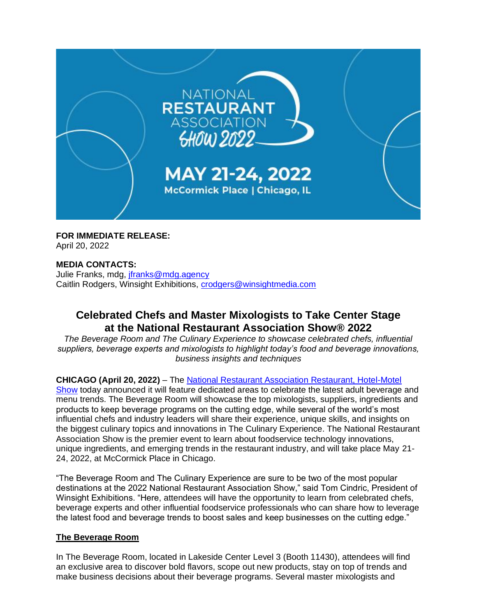

**FOR IMMEDIATE RELEASE:** April 20, 2022

## **MEDIA CONTACTS:**

Julie Franks, mdg, [jfranks@mdg.agency](mailto:jfranks@mdg.agency) Caitlin Rodgers, Winsight Exhibitions, [crodgers@winsightmedia.com](mailto:crodgers@winsightmedia.com)

# **Celebrated Chefs and Master Mixologists to Take Center Stage at the National Restaurant Association Show® 2022**

*The Beverage Room and The Culinary Experience to showcase celebrated chefs, influential suppliers, beverage experts and mixologists to highlight today's food and beverage innovations, business insights and techniques*

## **CHICAGO (April 20, 2022)** – The [National Restaurant Association Restaurant, Hotel-Motel](https://www.nationalrestaurantshow.com/)

[Show](https://www.nationalrestaurantshow.com/) today announced it will feature dedicated areas to celebrate the latest adult beverage and menu trends. The Beverage Room will showcase the top mixologists, suppliers, ingredients and products to keep beverage programs on the cutting edge, while several of the world's most influential chefs and industry leaders will share their experience, unique skills, and insights on the biggest culinary topics and innovations in The Culinary Experience. The National Restaurant Association Show is the premier event to learn about foodservice technology innovations, unique ingredients, and emerging trends in the restaurant industry, and will take place May 21- 24, 2022, at McCormick Place in Chicago.

"The Beverage Room and The Culinary Experience are sure to be two of the most popular destinations at the 2022 National Restaurant Association Show," said Tom Cindric, President of Winsight Exhibitions. "Here, attendees will have the opportunity to learn from celebrated chefs, beverage experts and other influential foodservice professionals who can share how to leverage the latest food and beverage trends to boost sales and keep businesses on the cutting edge."

#### **The Beverage Room**

In The Beverage Room, located in Lakeside Center Level 3 (Booth 11430), attendees will find an exclusive area to discover bold flavors, scope out new products, stay on top of trends and make business decisions about their beverage programs. Several master mixologists and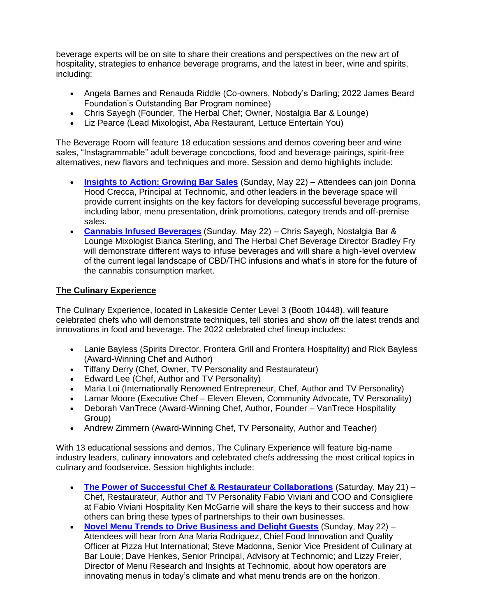beverage experts will be on site to share their creations and perspectives on the new art of hospitality, strategies to enhance beverage programs, and the latest in beer, wine and spirits, including:

- Angela Barnes and Renauda Riddle (Co-owners, Nobody's Darling; 2022 James Beard Foundation's Outstanding Bar Program nominee)
- Chris Sayegh (Founder, The Herbal Chef; Owner, Nostalgia Bar & Lounge)
- Liz Pearce (Lead Mixologist, Aba Restaurant, Lettuce Entertain You)

The Beverage Room will feature [18 education sessions and demos](https://directory.nationalrestaurantshow.com/8_0/explore/session-locations.cfm/#/show/cat-sessionlocations%7CThe%20Beverage%20Room%20Stage%20-%20Lakeside%20Center%20-%2011430%20) covering beer and wine sales, "Instagrammable" adult beverage concoctions, food and beverage pairings, spirit-free alternatives, new flavors and techniques and more. Session and demo highlights include:

- **[Insights to Action: Growing Bar Sales](https://directory.nationalrestaurantshow.com/8_0/sessions/session-details.cfm?scheduleid=221)** (Sunday, May 22) Attendees can join Donna Hood Crecca, Principal at Technomic, and other leaders in the beverage space will provide current insights on the key factors for developing successful beverage programs, including labor, menu presentation, drink promotions, category trends and off-premise sales.
- **[Cannabis Infused Beverages](https://directory.nationalrestaurantshow.com/8_0/sessions/session-details.cfm?scheduleid=244)** (Sunday, May 22) Chris Sayegh, Nostalgia Bar & Lounge Mixologist Bianca Sterling, and The Herbal Chef Beverage Director Bradley Fry will demonstrate different ways to infuse beverages and will share a high-level overview of the current legal landscape of CBD/THC infusions and what's in store for the future of the cannabis consumption market.

# **The Culinary Experience**

The Culinary Experience, located in Lakeside Center Level 3 (Booth 10448), will feature celebrated chefs who will demonstrate techniques, tell stories and show off the latest trends and innovations in food and beverage. The 2022 celebrated chef lineup includes:

- Lanie Bayless (Spirits Director, Frontera Grill and Frontera Hospitality) and Rick Bayless (Award-Winning Chef and Author)
- Tiffany Derry (Chef, Owner, TV Personality and Restaurateur)
- Edward Lee (Chef, Author and TV Personality)
- Maria Loi (Internationally Renowned Entrepreneur, Chef, Author and TV Personality)
- Lamar Moore (Executive Chef Eleven Eleven, Community Advocate, TV Personality)
- Deborah VanTrece (Award-Winning Chef, Author, Founder VanTrece Hospitality Group)
- Andrew Zimmern (Award-Winning Chef, TV Personality, Author and Teacher)

With [13 educational sessions and demos,](https://directory.nationalrestaurantshow.com/8_0/sessions/?&_ga=2.242273350.574283243.1647898427-372094557.1641834671#/searchtype/sessionlocations/search/The%20Culinary%20Experience%20%E2%80%93%20Lakeside%20Center%20%E2%80%93%2010448/show/all) The Culinary Experience will feature big-name industry leaders, culinary innovators and celebrated chefs addressing the most critical topics in culinary and foodservice. Session highlights include:

- **[The Power of Successful Chef & Restaurateur Collaborations](https://directory.nationalrestaurantshow.com/8_0/sessions/session-details.cfm?scheduleid=149)** (Saturday, May 21) Chef, Restaurateur, Author and TV Personality Fabio Viviani and COO and Consigliere at Fabio Viviani Hospitality Ken McGarrie will share the keys to their success and how others can bring these types of partnerships to their own businesses.
- **[Novel Menu Trends to Drive Business and Delight Guests](https://directory.nationalrestaurantshow.com/8_0/sessions/session-details.cfm?scheduleid=197)** (Sunday, May 22) Attendees will hear from Ana Maria Rodriguez, Chief Food Innovation and Quality Officer at Pizza Hut International; Steve Madonna, Senior Vice President of Culinary at Bar Louie; Dave Henkes, Senior Principal, Advisory at Technomic; and Lizzy Freier, Director of Menu Research and Insights at Technomic, about how operators are innovating menus in today's climate and what menu trends are on the horizon.